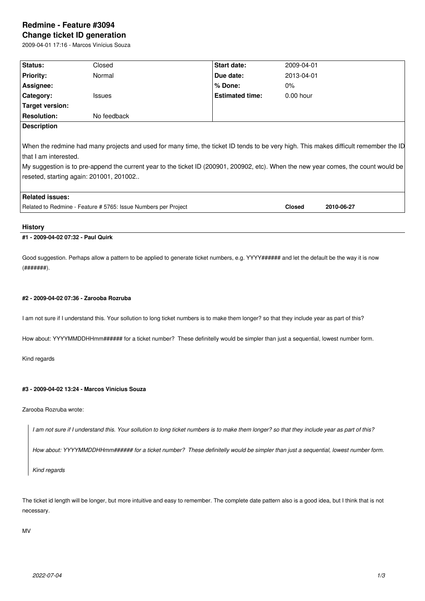# **Redmine - Feature #3094 Change ticket ID generation**

2009-04-01 17:16 - Marcos Vinícius Souza

| Status:                                                                                                                              | Closed                                  | Start date:                                                                                                                         | 2009-04-01    |            |
|--------------------------------------------------------------------------------------------------------------------------------------|-----------------------------------------|-------------------------------------------------------------------------------------------------------------------------------------|---------------|------------|
| <b>Priority:</b>                                                                                                                     | Normal                                  | Due date:                                                                                                                           | 2013-04-01    |            |
| Assignee:                                                                                                                            |                                         | % Done:                                                                                                                             | $0\%$         |            |
| <b>Category:</b>                                                                                                                     | Issues                                  | <b>Estimated time:</b>                                                                                                              | $0.00$ hour   |            |
| Target version:                                                                                                                      |                                         |                                                                                                                                     |               |            |
| <b>Resolution:</b>                                                                                                                   | No feedback                             |                                                                                                                                     |               |            |
| <b>Description</b>                                                                                                                   |                                         |                                                                                                                                     |               |            |
|                                                                                                                                      |                                         |                                                                                                                                     |               |            |
| When the redmine had many projects and used for many time, the ticket ID tends to be very high. This makes difficult remember the ID |                                         |                                                                                                                                     |               |            |
| l that I am interested.                                                                                                              |                                         |                                                                                                                                     |               |            |
|                                                                                                                                      |                                         | My suggestion is to pre-append the current year to the ticket ID (200901, 200902, etc). When the new year comes, the count would be |               |            |
|                                                                                                                                      | reseted, starting again: 201001, 201002 |                                                                                                                                     |               |            |
|                                                                                                                                      |                                         |                                                                                                                                     |               |            |
| <b>Related issues:</b>                                                                                                               |                                         |                                                                                                                                     |               |            |
| Related to Redmine - Feature # 5765: Issue Numbers per Project                                                                       |                                         |                                                                                                                                     | <b>Closed</b> | 2010-06-27 |
|                                                                                                                                      |                                         |                                                                                                                                     |               |            |

## **History**

# **#1 - 2009-04-02 07:32 - Paul Quirk**

Good suggestion. Perhaps allow a pattern to be applied to generate ticket numbers, e.g. YYYY###### and let the default be the way it is now  $($ ######## $)$ .

### **#2 - 2009-04-02 07:36 - Zarooba Rozruba**

I am not sure if I understand this. Your sollution to long ticket numbers is to make them longer? so that they include year as part of this?

How about: YYYYMMDDHHmm###### for a ticket number? These definitelly would be simpler than just a sequential, lowest number form.

Kind regards

# **#3 - 2009-04-02 13:24 - Marcos Vinícius Souza**

Zarooba Rozruba wrote:

*I am not sure if I understand this. Your sollution to long ticket numbers is to make them longer? so that they include year as part of this?*

*How about: YYYYMMDDHHmm###### for a ticket number? These definitelly would be simpler than just a sequential, lowest number form.*

*Kind regards*

The ticket id length will be longer, but more intuitive and easy to remember. The complete date pattern also is a good idea, but I think that is not necessary.

MV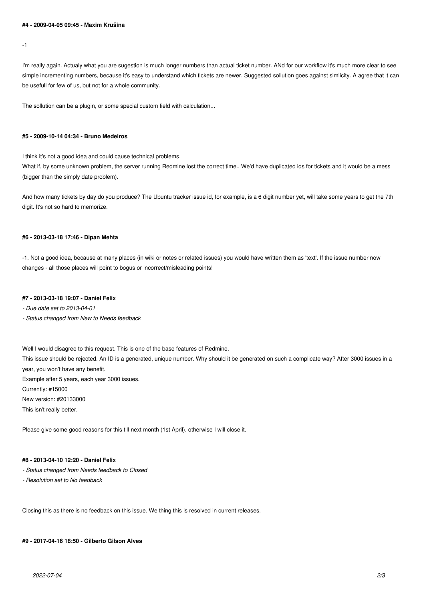#### **#4 - 2009-04-05 09:45 - Maxim Krušina**

-1

I'm really again. Actualy what you are sugestion is much longer numbers than actual ticket number. ANd for our workflow it's much more clear to see simple incrementing numbers, because it's easy to understand which tickets are newer. Suggested sollution goes against simlicity. A agree that it can be usefull for few of us, but not for a whole community.

The sollution can be a plugin, or some special custom field with calculation...

#### **#5 - 2009-10-14 04:34 - Bruno Medeiros**

I think it's not a good idea and could cause technical problems.

What if, by some unknown problem, the server running Redmine lost the correct time.. We'd have duplicated ids for tickets and it would be a mess (bigger than the simply date problem).

And how many tickets by day do you produce? The Ubuntu tracker issue id, for example, is a 6 digit number yet, will take some years to get the 7th digit. It's not so hard to memorize.

## **#6 - 2013-03-18 17:46 - Dipan Mehta**

-1. Not a good idea, because at many places (in wiki or notes or related issues) you would have written them as 'text'. If the issue number now changes - all those places will point to bogus or incorrect/misleading points!

### **#7 - 2013-03-18 19:07 - Daniel Felix**

*- Due date set to 2013-04-01*

*- Status changed from New to Needs feedback*

Well I would disagree to this request. This is one of the base features of Redmine. This issue should be rejected. An ID is a generated, unique number. Why should it be generated on such a complicate way? After 3000 issues in a year, you won't have any benefit. Example after 5 years, each year 3000 issues. Currently: #15000 New version: #20133000 This isn't really better.

Please give some good reasons for this till next month (1st April). otherwise I will close it.

# **#8 - 2013-04-10 12:20 - Daniel Felix**

- *Status changed from Needs feedback to Closed*
- *Resolution set to No feedback*

Closing this as there is no feedback on this issue. We thing this is resolved in current releases.

**#9 - 2017-04-16 18:50 - Gilberto Gilson Alves**